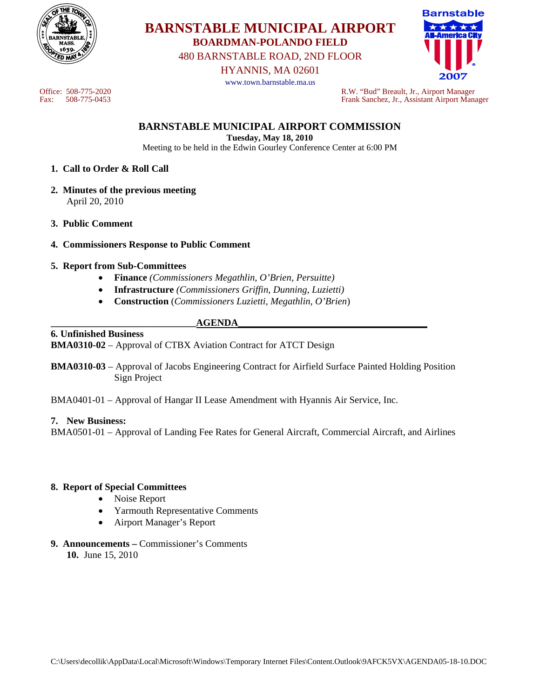

# **BARNSTABLE MUNICIPAL AIRPORT BOARDMAN-POLANDO FIELD**

480 BARNSTABLE ROAD, 2ND FLOOR

HYANNIS, MA 02601

www.town.barnstable.ma.us



Office: 508-775-2020 R.W. "Bud" Breault, Jr., Airport Manager Fax: 508-775-0453 Frank Sanchez, Jr., Assistant Airport Manager

**BARNSTABLE MUNICIPAL AIRPORT COMMISSION** 

**Tuesday, May 18, 2010**  Meeting to be held in the Edwin Gourley Conference Center at 6:00 PM

- **1. Call to Order & Roll Call**
- **2. Minutes of the previous meeting**  April 20, 2010
- **3. Public Comment**
- **4. Commissioners Response to Public Comment**
- **5. Report from Sub-Committees** 
	- **Finance** *(Commissioners Megathlin, O'Brien, Persuitte)*
	- **Infrastructure** *(Commissioners Griffin, Dunning, Luzietti)*
	- **Construction** (*Commissioners Luzietti, Megathlin, O'Brien*)
- **\_\_\_\_\_\_\_\_\_\_\_\_\_\_\_\_\_\_\_\_\_\_\_\_\_\_\_\_\_\_AGENDA\_\_\_\_\_\_\_\_\_\_\_\_\_\_\_\_\_\_\_\_\_\_\_\_\_\_\_\_\_\_\_\_\_\_\_\_\_\_\_**

**6. Unfinished Business BMA0310-02** – Approval of CTBX Aviation Contract for ATCT Design

- **BMA0310-03** Approval of Jacobs Engineering Contract for Airfield Surface Painted Holding Position Sign Project
- BMA0401-01 Approval of Hangar II Lease Amendment with Hyannis Air Service, Inc.

#### **7. New Business:**

BMA0501-01 – Approval of Landing Fee Rates for General Aircraft, Commercial Aircraft, and Airlines

#### **8. Report of Special Committees**

- Noise Report
- Yarmouth Representative Comments
- Airport Manager's Report
- **9. Announcements** Commissioner's Comments **10.** June 15, 2010